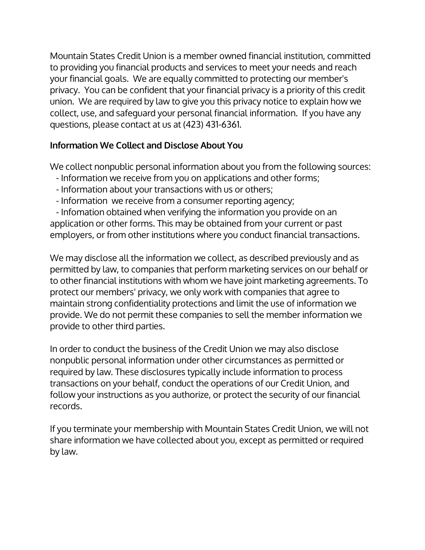Mountain States Credit Union is a member owned financial institution, committed to providing you financial products and services to meet your needs and reach your financial goals. We are equally committed to protecting our member's privacy. You can be confident that your financial privacy is a priority of this credit union. We are required by law to give you this privacy notice to explain how we collect, use, and safeguard your personal financial information. If you have any questions, please contact at us at (423) 431-6361.

## Information We Collect and Disclose About You

We collect nonpublic personal information about you from the following sources:

- Information we receive from you on applications and other forms;
- Information about your transactions with us or others;
- Information we receive from a consumer reporting agency;

 - Infomation obtained when verifying the information you provide on an application or other forms. This may be obtained from your current or past employers, or from other institutions where you conduct financial transactions.

We may disclose all the information we collect, as described previously and as permitted by law, to companies that perform marketing services on our behalf or to other financial institutions with whom we have joint marketing agreements. To protect our members' privacy, we only work with companies that agree to maintain strong confidentiality protections and limit the use of information we provide. We do not permit these companies to sell the member information we provide to other third parties.

In order to conduct the business of the Credit Union we may also disclose nonpublic personal information under other circumstances as permitted or required by law. These disclosures typically include information to process transactions on your behalf, conduct the operations of our Credit Union, and follow your instructions as you authorize, or protect the security of our financial records.

If you terminate your membership with Mountain States Credit Union, we will not share information we have collected about you, except as permitted or required by law.